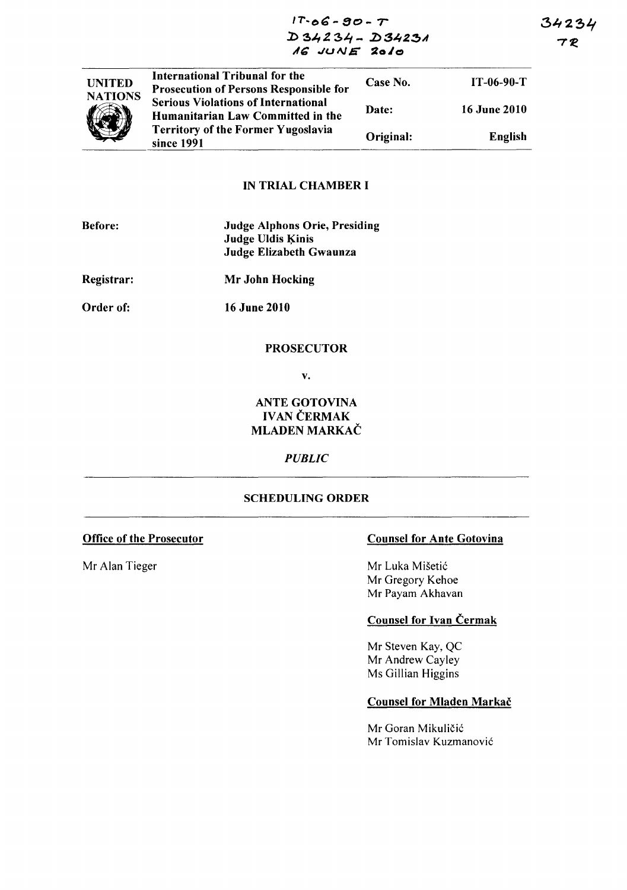34234 7 R

 $17 - 06 - 90 - T$  $D34234 - D34231$ 16 JUNE 2010



## **IN TRIAL CHAMBER I**

| <b>Before:</b>    | <b>Judge Alphons Orie, Presiding</b><br><b>Judge Uldis Kinis</b><br>Judge Elizabeth Gwaunza |
|-------------------|---------------------------------------------------------------------------------------------|
| <b>Registrar:</b> | Mr John Hocking                                                                             |
| Order of:         | <b>16 June 2010</b>                                                                         |

#### **PROSECUTOR**

 $\mathbf{v}$ .

# **ANTE GOTOVINA IVAN ČERMAK** MLADEN MARKAČ

### **PUBLIC**

#### **SCHEDULING ORDER**

# **Office of the Prosecutor**

Mr Alan Tieger

# **Counsel for Ante Gotovina**

Mr Luka Mišetić Mr Gregory Kehoe Mr Payam Akhavan

## **Counsel for Ivan Cermak**

Mr Steven Kay, QC Mr Andrew Cayley Ms Gillian Higgins

## **Counsel for Mladen Markač**

Mr Goran Mikuličić Mr Tomislav Kuzmanović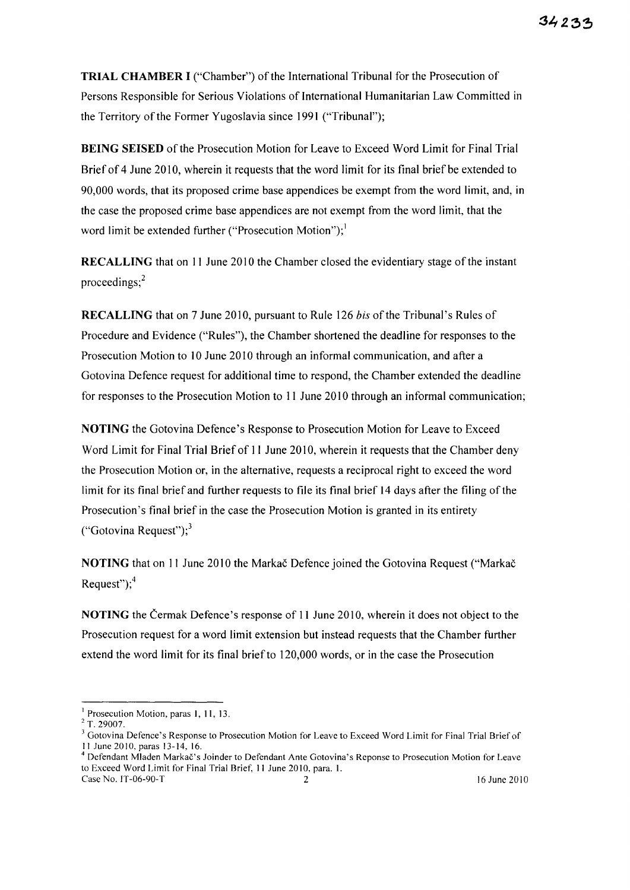**TRIAL CHAMBER I** ("Chamber") of the International Tribunal for the Prosecution of Persons Responsible for Serious Violations of International Humanitarian Law Committed in the Territory of the Former Yugoslavia since 1991 ("Tribunal");

**BEING SEISED** of the Prosecution Motion for Leave to Exceed Word Limit for Final Trial Brief of 4 June 2010, wherein it requests that the word limit for its final brief be extended to 90,000 words, that its proposed crime base appendices be exempt from the word limit, and, in the case the proposed crime base appendices are not exempt from the word limit, that the word limit be extended further ("Prosecution Motion"); $\cdot$ 

**RECALLING** that on 11 June 2010 the Chamber closed the evidentiary stage of the instant proceedings; $<sup>2</sup>$ </sup>

**RECALLING** that on 7 June 2010, pursuant to Rule 126 *his* of the Tribunal's Rules of Procedure and Evidence ("Rules"), the Chamber shortened the deadline for responses to the Prosecution Motion to 10 June 2010 through an informal communication, and after a Gotovina Defence request for additional time to respond, the Chamber extended the deadline for responses to the Prosecution Motion to 11 June 2010 through an informal communication;

**NOTING** the Gotovina Defence's Response to Prosecution Motion for Leave to Exceed Word Limit for Final Trial Brief of 11 June 2010, wherein it requests that the Chamber deny the Prosecution Motion or, in the alternative, requests a reciprocal right to exceed the word limit for its final brief and further requests to file its final brief 14 days after the filing of the Prosecution's final brief in the case the Prosecution Motion is granted in its entirety ("Gotovina Request"); $3$ 

**NOTING** that on 11 June 2010 the Markac Defence joined the Gotovina Request ("Markac") Request"); $4$ 

**NOTING** the Cermak Defence's response of 11 June 2010, wherein it does not object to the Prosecution request for a word limit extension but instead requests that the Chamber further extend the word limit for its final briefto 120,000 words, or in the case the Prosecution

<sup>1</sup> Prosecution Motion, paras I, 11, 13.

 $2$  T. 29007.

<sup>&</sup>lt;sup>3</sup> Gotovina Defence's Response to Prosecution Motion for Leave to Exceed Word Limit for Final Trial Brief of I I June 2010, paras 13-14, 16.

<sup>&</sup>lt;sup>4</sup> Defendant Mladen Markač's Joinder to Defendant Ante Gotovina's Reponse to Prosecution Motion for Leave to Exceed Word Limit for Final Trial Brief, 11 June 2010, para. I. Case No. 1T-06-90-T 2 2 16 June 2010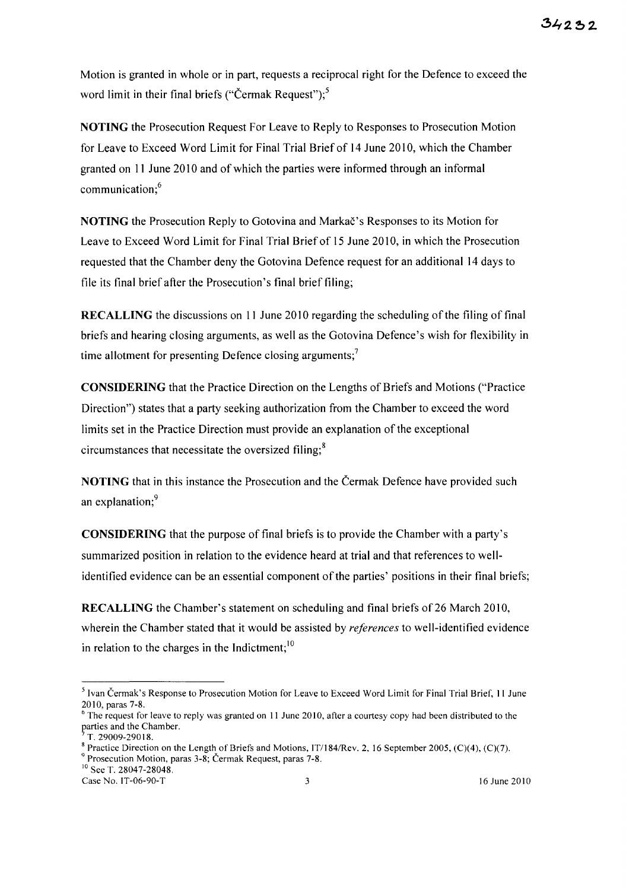Motion is granted in whole or in part, requests a reciprocal right for the Defence to exceed the word limit in their final briefs ("Čermak Request");<sup>5</sup>

NOTING the Prosecution Request For Leave to Reply to Responses to Prosecution Motion for Leave to Exceed Word Limit for Final Trial Brief of 14 June 2010, which the Chamber granted on 11 June 2010 and of which the parties were informed through an informal communication;<sup>6</sup>

NOTING the Prosecution Reply to Gotovina and Markac's Responses to its Motion for Leave to Exceed Word Limit for Final Trial Briefof 15 June 2010, in which the Prosecution requested that the Chamber deny the Gotovina Defence request for an additional 14 days to file its final brief after the Prosecution's final brief filing;

RECALLING the discussions on II June 2010 regarding the scheduling of the filing of final briefs and hearing closing arguments, as well as the Gotovina Defence's wish for flexibility in time allotment for presenting Defence closing arguments;<sup>7</sup>

CONSIDERING that the Practice Direction on the Lengths of Briefs and Motions ("Practice Direction") states that a party seeking authorization from the Chamber to exceed the word limits set in the Practice Direction must provide an explanation of the exceptional circumstances that necessitate the oversized filing; $<sup>8</sup>$ </sup>

NOTING that in this instance the Prosecution and the Cermak Defence have provided such an explanation; 9

CONSIDERING that the purpose of final briefs is to provide the Chamber with a party's summarized position in relation to the evidence heard at trial and that references to wellidentified evidence can be an essential component of the parties' positions in their final briefs;

RECALLING the Chamber's statement on scheduling and final briefs of 26 March 2010, wherein the Chamber stated that it would be assisted by *references* to well-identified evidence in relation to the charges in the Indictment; $10$ 

Case No. IT-06-90-T 3 16 June 2010

<sup>&</sup>lt;sup>5</sup> Ivan Čermak's Response to Prosecution Motion for Leave to Exceed Word Limit for Final Trial Brief, 11 June 2010, paras 7-8.

 $6$  The request for leave to reply was granted on 11 June 2010, after a courtesy copy had been distributed to the parties and the Chamber.

<sup>7</sup> T. 29009-29018.

<sup>&</sup>lt;sup>8</sup> Practice Direction on the Length of Briefs and Motions, IT/184/Rev. 2, 16 September 2005, (C)(4), (C)(7). 9 Prosecution Motion, paras 3-8; Cermak Request, paras 7-8.

<sup>&</sup>lt;sup>10</sup> See T. 28047-28048.